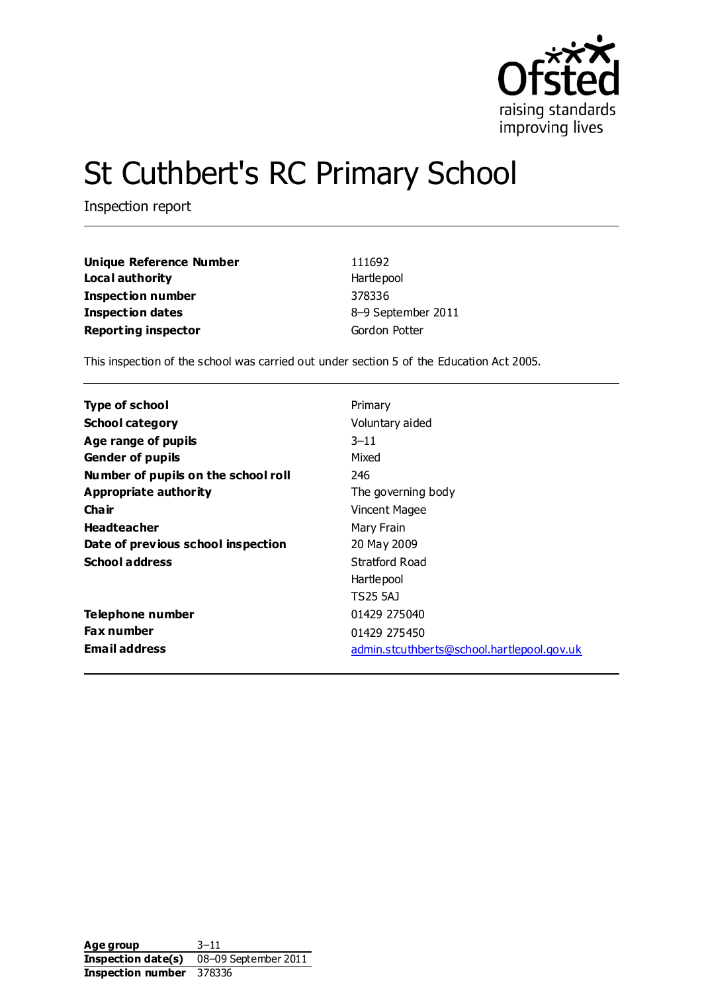

# St Cuthbert's RC Primary School

Inspection report

| <b>Unique Reference Number</b> | 111692             |
|--------------------------------|--------------------|
| Local authority                | Hartlepool         |
| Inspection number              | 378336             |
| Inspection dates               | 8-9 September 2011 |
| <b>Reporting inspector</b>     | Gordon Potter      |

This inspection of the school was carried out under section 5 of the Education Act 2005.

| <b>Type of school</b>               | Primary                                    |
|-------------------------------------|--------------------------------------------|
| <b>School category</b>              | Voluntary aided                            |
| Age range of pupils                 | $3 - 11$                                   |
| <b>Gender of pupils</b>             | Mixed                                      |
| Number of pupils on the school roll | 246                                        |
| Appropriate authority               | The governing body                         |
| Cha ir                              | Vincent Magee                              |
| <b>Headteacher</b>                  | Mary Frain                                 |
| Date of previous school inspection  | 20 May 2009                                |
| <b>School address</b>               | Stratford Road                             |
|                                     | Hartlepool                                 |
|                                     | TS25 5AJ                                   |
| Telephone number                    | 01429 275040                               |
| <b>Fax number</b>                   | 01429 275450                               |
| <b>Email address</b>                | admin.stcuthberts@school.hartlepool.gov.uk |

Age group 3–11 **Inspection date(s)** 08–09 September 2011 **Inspection number** 378336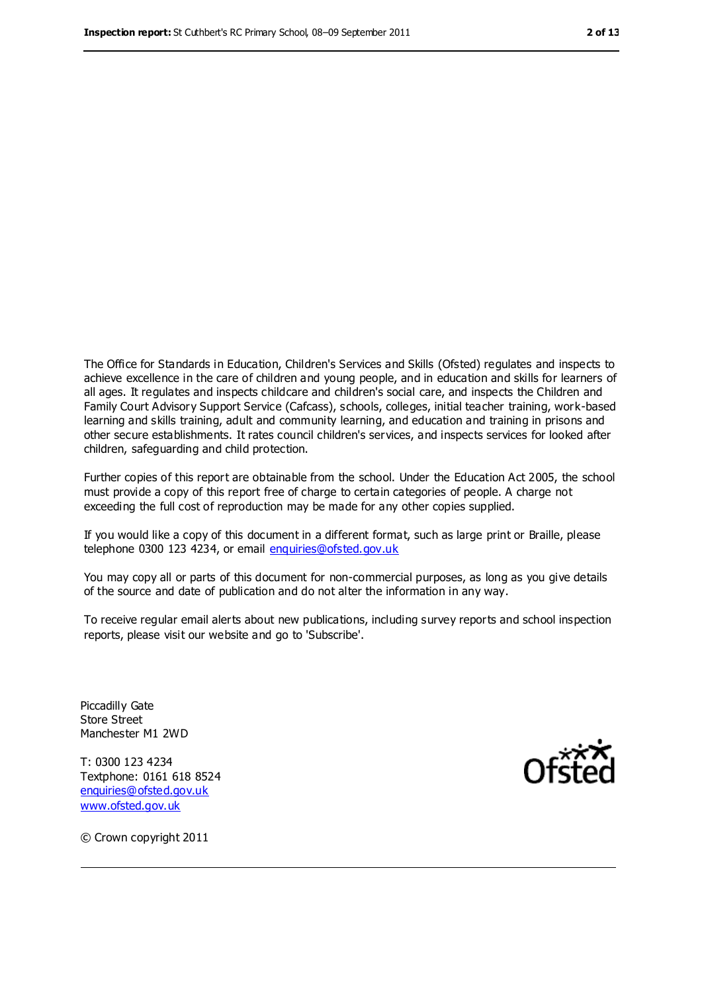The Office for Standards in Education, Children's Services and Skills (Ofsted) regulates and inspects to achieve excellence in the care of children and young people, and in education and skills for learners of all ages. It regulates and inspects childcare and children's social care, and inspects the Children and Family Court Advisory Support Service (Cafcass), schools, colleges, initial teacher training, work-based learning and skills training, adult and community learning, and education and training in prisons and other secure establishments. It rates council children's services, and inspects services for looked after children, safeguarding and child protection.

Further copies of this report are obtainable from the school. Under the Education Act 2005, the school must provide a copy of this report free of charge to certain categories of people. A charge not exceeding the full cost of reproduction may be made for any other copies supplied.

If you would like a copy of this document in a different format, such as large print or Braille, please telephone 0300 123 4234, or email [enquiries@ofsted.gov.uk](mailto:enquiries@ofsted.gov.uk)

You may copy all or parts of this document for non-commercial purposes, as long as you give details of the source and date of publication and do not alter the information in any way.

To receive regular email alerts about new publications, including survey reports and school inspection reports, please visit our website and go to 'Subscribe'.

Piccadilly Gate Store Street Manchester M1 2WD

T: 0300 123 4234 Textphone: 0161 618 8524 [enquiries@ofsted.gov.uk](mailto:enquiries@ofsted.gov.uk) [www.ofsted.gov.uk](http://www.ofsted.gov.uk/)



© Crown copyright 2011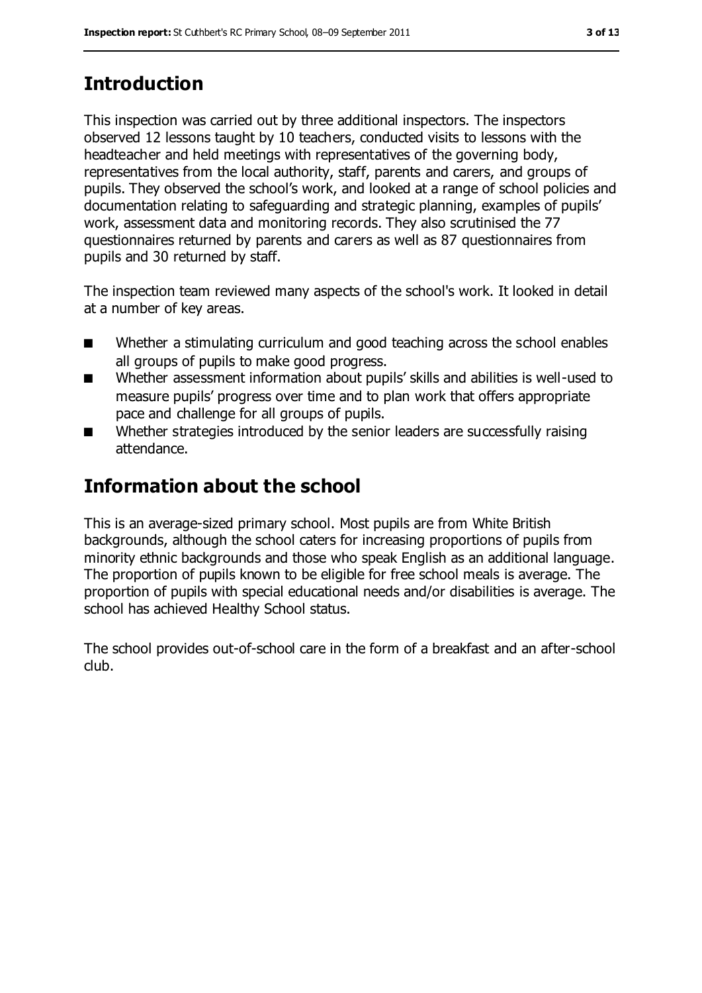## **Introduction**

This inspection was carried out by three additional inspectors. The inspectors observed 12 lessons taught by 10 teachers, conducted visits to lessons with the headteacher and held meetings with representatives of the governing body, representatives from the local authority, staff, parents and carers, and groups of pupils. They observed the school's work, and looked at a range of school policies and documentation relating to safeguarding and strategic planning, examples of pupils' work, assessment data and monitoring records. They also scrutinised the 77 questionnaires returned by parents and carers as well as 87 questionnaires from pupils and 30 returned by staff.

The inspection team reviewed many aspects of the school's work. It looked in detail at a number of key areas.

- Whether a stimulating curriculum and good teaching across the school enables all groups of pupils to make good progress.
- Whether assessment information about pupils' skills and abilities is well-used to measure pupils' progress over time and to plan work that offers appropriate pace and challenge for all groups of pupils.
- Whether strategies introduced by the senior leaders are successfully raising attendance.

## **Information about the school**

This is an average-sized primary school. Most pupils are from White British backgrounds, although the school caters for increasing proportions of pupils from minority ethnic backgrounds and those who speak English as an additional language. The proportion of pupils known to be eligible for free school meals is average. The proportion of pupils with special educational needs and/or disabilities is average. The school has achieved Healthy School status.

The school provides out-of-school care in the form of a breakfast and an after-school club.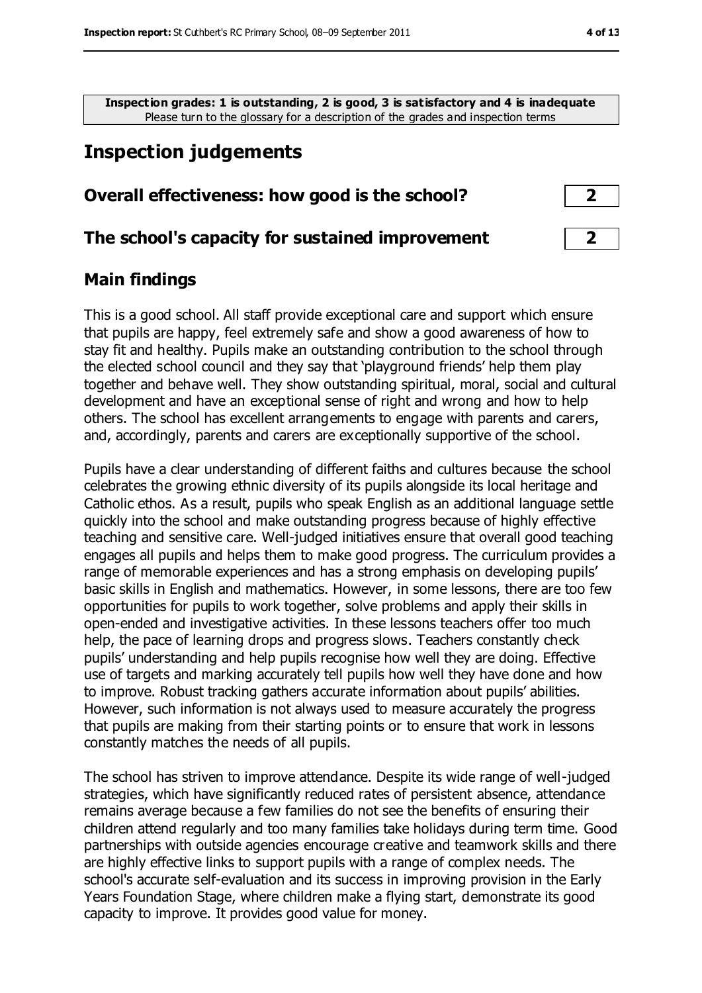**Inspection grades: 1 is outstanding, 2 is good, 3 is satisfactory and 4 is inadequate** Please turn to the glossary for a description of the grades and inspection terms

### **Inspection judgements**

#### **Overall effectiveness: how good is the school? 2**

#### **The school's capacity for sustained improvement 2**

#### **Main findings**

This is a good school. All staff provide exceptional care and support which ensure that pupils are happy, feel extremely safe and show a good awareness of how to stay fit and healthy. Pupils make an outstanding contribution to the school through the elected school council and they say that 'playground friends' help them play together and behave well. They show outstanding spiritual, moral, social and cultural development and have an exceptional sense of right and wrong and how to help others. The school has excellent arrangements to engage with parents and carers, and, accordingly, parents and carers are exceptionally supportive of the school.

Pupils have a clear understanding of different faiths and cultures because the school celebrates the growing ethnic diversity of its pupils alongside its local heritage and Catholic ethos. As a result, pupils who speak English as an additional language settle quickly into the school and make outstanding progress because of highly effective teaching and sensitive care. Well-judged initiatives ensure that overall good teaching engages all pupils and helps them to make good progress. The curriculum provides a range of memorable experiences and has a strong emphasis on developing pupils' basic skills in English and mathematics. However, in some lessons, there are too few opportunities for pupils to work together, solve problems and apply their skills in open-ended and investigative activities. In these lessons teachers offer too much help, the pace of learning drops and progress slows. Teachers constantly check pupils' understanding and help pupils recognise how well they are doing. Effective use of targets and marking accurately tell pupils how well they have done and how to improve. Robust tracking gathers accurate information about pupils' abilities. However, such information is not always used to measure accurately the progress that pupils are making from their starting points or to ensure that work in lessons constantly matches the needs of all pupils.

The school has striven to improve attendance. Despite its wide range of well-judged strategies, which have significantly reduced rates of persistent absence, attendance remains average because a few families do not see the benefits of ensuring their children attend regularly and too many families take holidays during term time. Good partnerships with outside agencies encourage creative and teamwork skills and there are highly effective links to support pupils with a range of complex needs. The school's accurate self-evaluation and its success in improving provision in the Early Years Foundation Stage, where children make a flying start, demonstrate its good capacity to improve. It provides good value for money.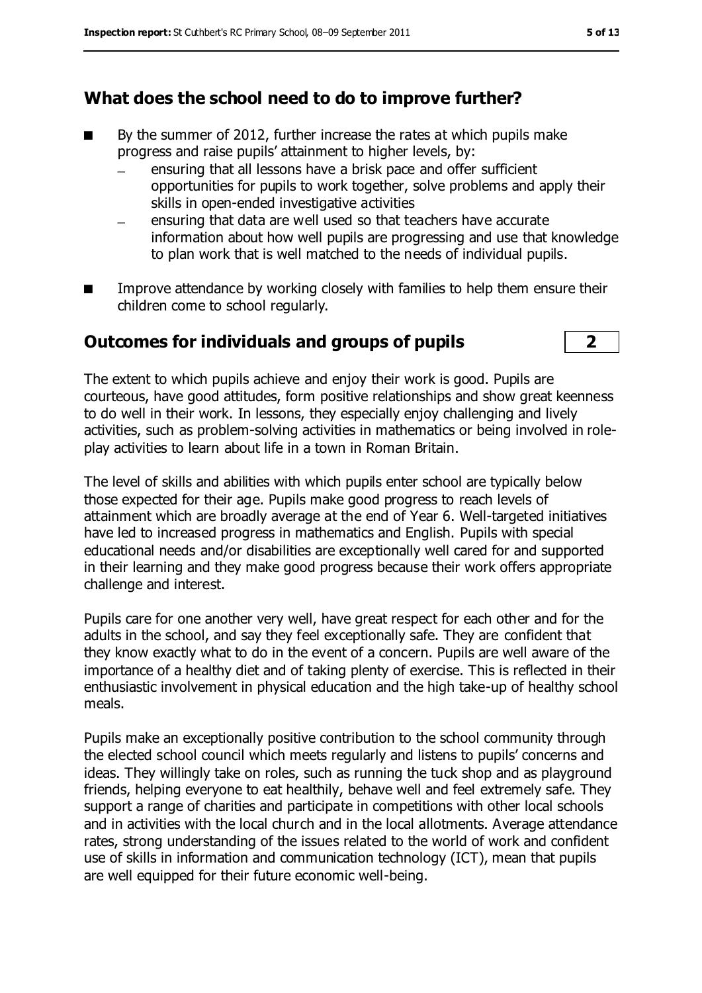#### **What does the school need to do to improve further?**

- By the summer of 2012, further increase the rates at which pupils make progress and raise pupils' attainment to higher levels, by:
	- ensuring that all lessons have a brisk pace and offer sufficient opportunities for pupils to work together, solve problems and apply their skills in open-ended investigative activities
	- ensuring that data are well used so that teachers have accurate information about how well pupils are progressing and use that knowledge to plan work that is well matched to the needs of individual pupils.
- Improve attendance by working closely with families to help them ensure their children come to school regularly.

#### **Outcomes for individuals and groups of pupils 2**

The extent to which pupils achieve and enjoy their work is good. Pupils are courteous, have good attitudes, form positive relationships and show great keenness to do well in their work. In lessons, they especially enjoy challenging and lively activities, such as problem-solving activities in mathematics or being involved in roleplay activities to learn about life in a town in Roman Britain.

The level of skills and abilities with which pupils enter school are typically below those expected for their age. Pupils make good progress to reach levels of attainment which are broadly average at the end of Year 6. Well-targeted initiatives have led to increased progress in mathematics and English. Pupils with special educational needs and/or disabilities are exceptionally well cared for and supported in their learning and they make good progress because their work offers appropriate challenge and interest.

Pupils care for one another very well, have great respect for each other and for the adults in the school, and say they feel exceptionally safe. They are confident that they know exactly what to do in the event of a concern. Pupils are well aware of the importance of a healthy diet and of taking plenty of exercise. This is reflected in their enthusiastic involvement in physical education and the high take-up of healthy school meals.

Pupils make an exceptionally positive contribution to the school community through the elected school council which meets regularly and listens to pupils' concerns and ideas. They willingly take on roles, such as running the tuck shop and as playground friends, helping everyone to eat healthily, behave well and feel extremely safe. They support a range of charities and participate in competitions with other local schools and in activities with the local church and in the local allotments. Average attendance rates, strong understanding of the issues related to the world of work and confident use of skills in information and communication technology (ICT), mean that pupils are well equipped for their future economic well-being.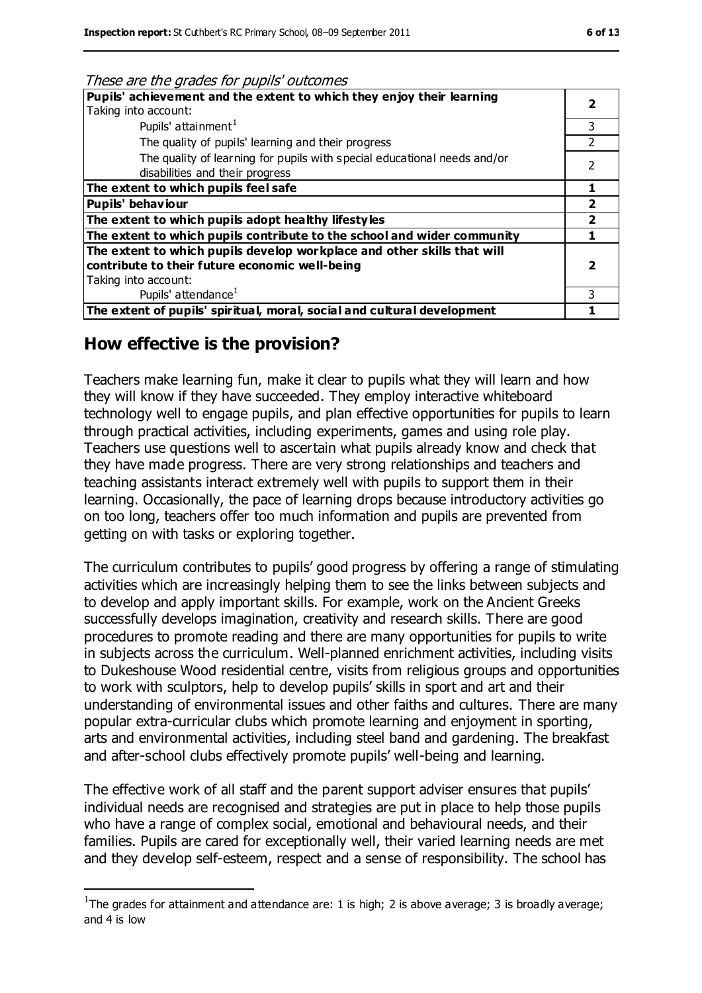| These are the grades for pupils buttonnes                                                                   |               |
|-------------------------------------------------------------------------------------------------------------|---------------|
| Pupils' achievement and the extent to which they enjoy their learning                                       |               |
| Taking into account:                                                                                        |               |
| Pupils' attainment <sup>1</sup>                                                                             | 3             |
| The quality of pupils' learning and their progress                                                          | $\mathcal{P}$ |
| The quality of learning for pupils with special educational needs and/or<br>disabilities and their progress | 2             |
| The extent to which pupils feel safe                                                                        |               |
| Pupils' behaviour                                                                                           |               |
| The extent to which pupils adopt healthy lifestyles                                                         |               |
| The extent to which pupils contribute to the school and wider community                                     |               |
| The extent to which pupils develop workplace and other skills that will                                     |               |
| contribute to their future economic well-being                                                              |               |
| Taking into account:                                                                                        |               |
| Pupils' attendance <sup>1</sup>                                                                             | ς             |
| The extent of pupils' spiritual, moral, social and cultural development                                     |               |
|                                                                                                             |               |

#### These are the grades for pupils' outcomes

#### **How effective is the provision?**

 $\overline{a}$ 

Teachers make learning fun, make it clear to pupils what they will learn and how they will know if they have succeeded. They employ interactive whiteboard technology well to engage pupils, and plan effective opportunities for pupils to learn through practical activities, including experiments, games and using role play. Teachers use questions well to ascertain what pupils already know and check that they have made progress. There are very strong relationships and teachers and teaching assistants interact extremely well with pupils to support them in their learning. Occasionally, the pace of learning drops because introductory activities go on too long, teachers offer too much information and pupils are prevented from getting on with tasks or exploring together.

The curriculum contributes to pupils' good progress by offering a range of stimulating activities which are increasingly helping them to see the links between subjects and to develop and apply important skills. For example, work on the Ancient Greeks successfully develops imagination, creativity and research skills. There are good procedures to promote reading and there are many opportunities for pupils to write in subjects across the curriculum. Well-planned enrichment activities, including visits to Dukeshouse Wood residential centre, visits from religious groups and opportunities to work with sculptors, help to develop pupils' skills in sport and art and their understanding of environmental issues and other faiths and cultures. There are many popular extra-curricular clubs which promote learning and enjoyment in sporting, arts and environmental activities, including steel band and gardening. The breakfast and after-school clubs effectively promote pupils' well-being and learning.

The effective work of all staff and the parent support adviser ensures that pupils' individual needs are recognised and strategies are put in place to help those pupils who have a range of complex social, emotional and behavioural needs, and their families. Pupils are cared for exceptionally well, their varied learning needs are met and they develop self-esteem, respect and a sense of responsibility. The school has

<sup>&</sup>lt;sup>1</sup>The grades for attainment and attendance are: 1 is high; 2 is above average; 3 is broadly average; and 4 is low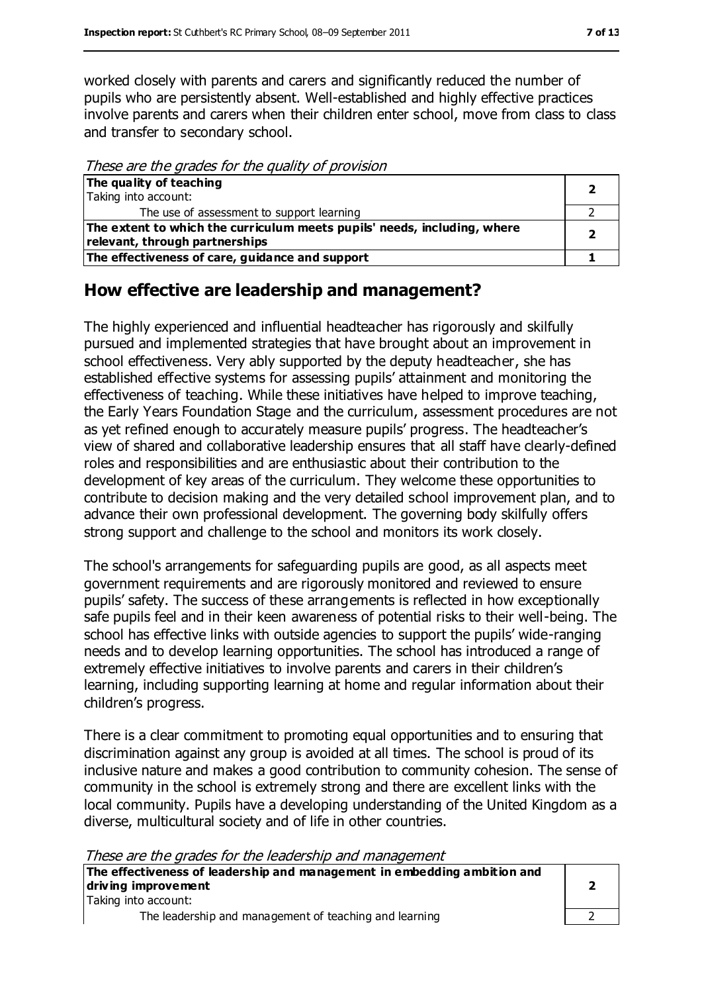worked closely with parents and carers and significantly reduced the number of pupils who are persistently absent. Well-established and highly effective practices involve parents and carers when their children enter school, move from class to class and transfer to secondary school.

These are the grades for the quality of provision

| The quality of teaching                                                  |  |
|--------------------------------------------------------------------------|--|
| Taking into account:                                                     |  |
| The use of assessment to support learning                                |  |
| The extent to which the curriculum meets pupils' needs, including, where |  |
| relevant, through partnerships                                           |  |
| The effectiveness of care, guidance and support                          |  |

#### **How effective are leadership and management?**

The highly experienced and influential headteacher has rigorously and skilfully pursued and implemented strategies that have brought about an improvement in school effectiveness. Very ably supported by the deputy headteacher, she has established effective systems for assessing pupils' attainment and monitoring the effectiveness of teaching. While these initiatives have helped to improve teaching, the Early Years Foundation Stage and the curriculum, assessment procedures are not as yet refined enough to accurately measure pupils' progress. The headteacher's view of shared and collaborative leadership ensures that all staff have clearly-defined roles and responsibilities and are enthusiastic about their contribution to the development of key areas of the curriculum. They welcome these opportunities to contribute to decision making and the very detailed school improvement plan, and to advance their own professional development. The governing body skilfully offers strong support and challenge to the school and monitors its work closely.

The school's arrangements for safeguarding pupils are good, as all aspects meet government requirements and are rigorously monitored and reviewed to ensure pupils' safety. The success of these arrangements is reflected in how exceptionally safe pupils feel and in their keen awareness of potential risks to their well-being. The school has effective links with outside agencies to support the pupils' wide-ranging needs and to develop learning opportunities. The school has introduced a range of extremely effective initiatives to involve parents and carers in their children's learning, including supporting learning at home and regular information about their children's progress.

There is a clear commitment to promoting equal opportunities and to ensuring that discrimination against any group is avoided at all times. The school is proud of its inclusive nature and makes a good contribution to community cohesion. The sense of community in the school is extremely strong and there are excellent links with the local community. Pupils have a developing understanding of the United Kingdom as a diverse, multicultural society and of life in other countries.

These are the grades for the leadership and management

**The effectiveness of leadership and management in embedding ambition and driving improvement** Taking into account: **2**

The leadership and management of teaching and learning 2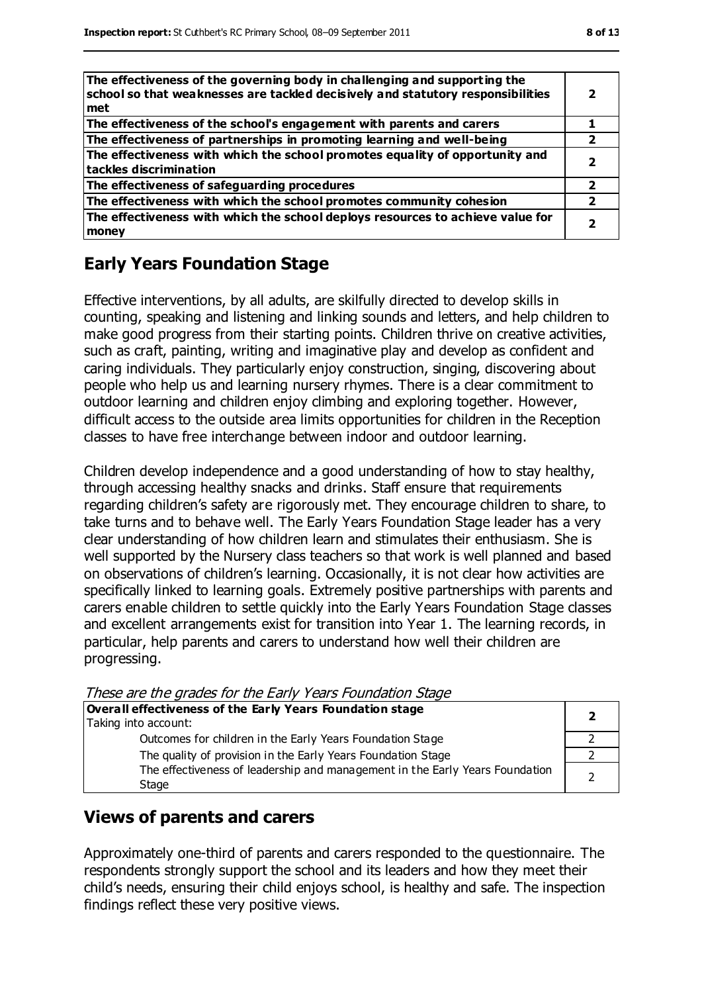| The effectiveness of the governing body in challenging and supporting the<br>school so that weaknesses are tackled decisively and statutory responsibilities<br>met |   |
|---------------------------------------------------------------------------------------------------------------------------------------------------------------------|---|
| The effectiveness of the school's engagement with parents and carers                                                                                                |   |
| The effectiveness of partnerships in promoting learning and well-being                                                                                              | 2 |
| The effectiveness with which the school promotes equality of opportunity and<br>tackles discrimination                                                              |   |
| The effectiveness of safeguarding procedures                                                                                                                        | 2 |
| The effectiveness with which the school promotes community cohesion                                                                                                 |   |
| The effectiveness with which the school deploys resources to achieve value for<br>money                                                                             |   |

#### **Early Years Foundation Stage**

Effective interventions, by all adults, are skilfully directed to develop skills in counting, speaking and listening and linking sounds and letters, and help children to make good progress from their starting points. Children thrive on creative activities, such as craft, painting, writing and imaginative play and develop as confident and caring individuals. They particularly enjoy construction, singing, discovering about people who help us and learning nursery rhymes. There is a clear commitment to outdoor learning and children enjoy climbing and exploring together. However, difficult access to the outside area limits opportunities for children in the Reception classes to have free interchange between indoor and outdoor learning.

Children develop independence and a good understanding of how to stay healthy, through accessing healthy snacks and drinks. Staff ensure that requirements regarding children's safety are rigorously met. They encourage children to share, to take turns and to behave well. The Early Years Foundation Stage leader has a very clear understanding of how children learn and stimulates their enthusiasm. She is well supported by the Nursery class teachers so that work is well planned and based on observations of children's learning. Occasionally, it is not clear how activities are specifically linked to learning goals. Extremely positive partnerships with parents and carers enable children to settle quickly into the Early Years Foundation Stage classes and excellent arrangements exist for transition into Year 1. The learning records, in particular, help parents and carers to understand how well their children are progressing.

These are the grades for the Early Years Foundation Stage

| Overall effectiveness of the Early Years Foundation stage                             |  |
|---------------------------------------------------------------------------------------|--|
| Taking into account:                                                                  |  |
| Outcomes for children in the Early Years Foundation Stage                             |  |
| The quality of provision in the Early Years Foundation Stage                          |  |
| The effectiveness of leadership and management in the Early Years Foundation<br>Stage |  |

#### **Views of parents and carers**

Approximately one-third of parents and carers responded to the questionnaire. The respondents strongly support the school and its leaders and how they meet their child's needs, ensuring their child enjoys school, is healthy and safe. The inspection findings reflect these very positive views.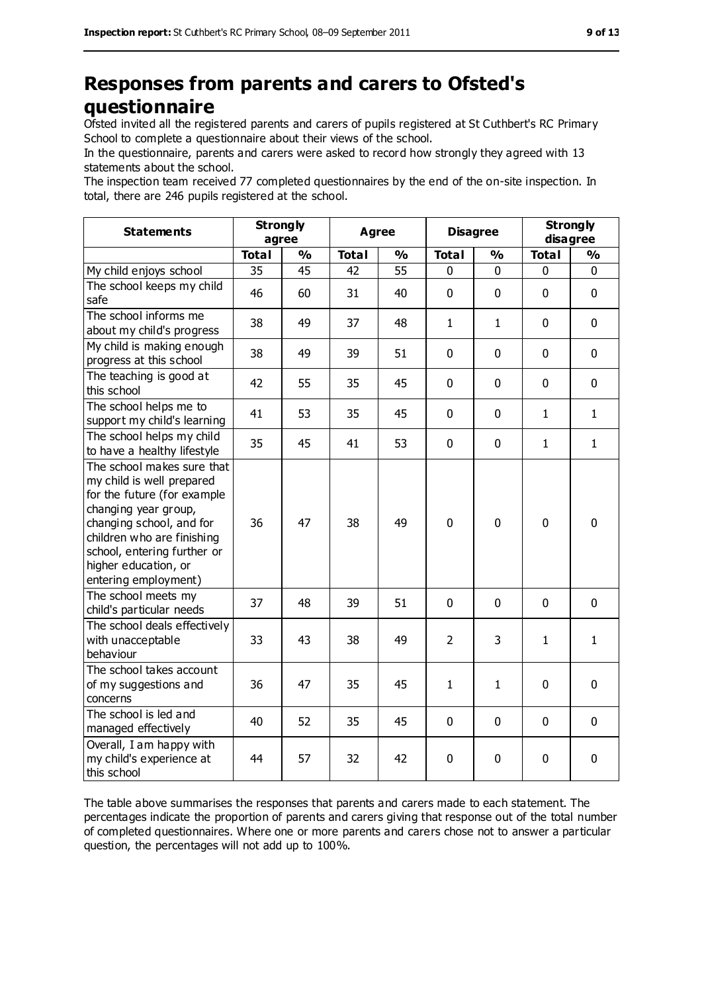## **Responses from parents and carers to Ofsted's questionnaire**

Ofsted invited all the registered parents and carers of pupils registered at St Cuthbert's RC Primary School to complete a questionnaire about their views of the school.

In the questionnaire, parents and carers were asked to record how strongly they agreed with 13 statements about the school.

The inspection team received 77 completed questionnaires by the end of the on-site inspection. In total, there are 246 pupils registered at the school.

| <b>Statements</b>                                                                                                                                                                                                                                       | <b>Strongly</b><br>agree |               | <b>Agree</b> |               | <b>Disagree</b> |               | <b>Strongly</b><br>disagree |               |
|---------------------------------------------------------------------------------------------------------------------------------------------------------------------------------------------------------------------------------------------------------|--------------------------|---------------|--------------|---------------|-----------------|---------------|-----------------------------|---------------|
|                                                                                                                                                                                                                                                         | <b>Total</b>             | $\frac{9}{6}$ | <b>Total</b> | $\frac{1}{2}$ | <b>Total</b>    | $\frac{0}{0}$ | <b>Total</b>                | $\frac{9}{6}$ |
| My child enjoys school                                                                                                                                                                                                                                  | 35                       | 45            | 42           | 55            | 0               | $\mathbf 0$   | 0                           | 0             |
| The school keeps my child<br>safe                                                                                                                                                                                                                       | 46                       | 60            | 31           | 40            | 0               | $\mathbf 0$   | $\mathbf 0$                 | $\mathbf 0$   |
| The school informs me<br>about my child's progress                                                                                                                                                                                                      | 38                       | 49            | 37           | 48            | 1               | $\mathbf{1}$  | $\mathbf 0$                 | $\mathbf 0$   |
| My child is making enough<br>progress at this school                                                                                                                                                                                                    | 38                       | 49            | 39           | 51            | 0               | $\mathbf 0$   | $\mathbf 0$                 | $\mathbf 0$   |
| The teaching is good at<br>this school                                                                                                                                                                                                                  | 42                       | 55            | 35           | 45            | 0               | $\mathbf 0$   | $\mathbf 0$                 | $\mathbf 0$   |
| The school helps me to<br>support my child's learning                                                                                                                                                                                                   | 41                       | 53            | 35           | 45            | 0               | $\mathbf 0$   | $\mathbf{1}$                | $\mathbf{1}$  |
| The school helps my child<br>to have a healthy lifestyle                                                                                                                                                                                                | 35                       | 45            | 41           | 53            | 0               | $\mathbf 0$   | $\mathbf{1}$                | $\mathbf{1}$  |
| The school makes sure that<br>my child is well prepared<br>for the future (for example<br>changing year group,<br>changing school, and for<br>children who are finishing<br>school, entering further or<br>higher education, or<br>entering employment) | 36                       | 47            | 38           | 49            | $\mathbf 0$     | $\mathbf 0$   | $\mathbf 0$                 | $\mathbf 0$   |
| The school meets my<br>child's particular needs                                                                                                                                                                                                         | 37                       | 48            | 39           | 51            | $\overline{0}$  | $\mathbf 0$   | $\mathbf 0$                 | $\mathbf 0$   |
| The school deals effectively<br>with unacceptable<br>behaviour                                                                                                                                                                                          | 33                       | 43            | 38           | 49            | $\overline{2}$  | 3             | $\mathbf{1}$                | $\mathbf{1}$  |
| The school takes account<br>of my suggestions and<br>concerns                                                                                                                                                                                           | 36                       | 47            | 35           | 45            | $\mathbf{1}$    | $\mathbf{1}$  | $\mathbf 0$                 | $\mathbf 0$   |
| The school is led and<br>managed effectively                                                                                                                                                                                                            | 40                       | 52            | 35           | 45            | 0               | $\mathbf 0$   | $\mathbf 0$                 | $\mathbf 0$   |
| Overall, I am happy with<br>my child's experience at<br>this school                                                                                                                                                                                     | 44                       | 57            | 32           | 42            | 0               | $\mathbf 0$   | $\mathbf 0$                 | 0             |

The table above summarises the responses that parents and carers made to each statement. The percentages indicate the proportion of parents and carers giving that response out of the total number of completed questionnaires. Where one or more parents and carers chose not to answer a particular question, the percentages will not add up to 100%.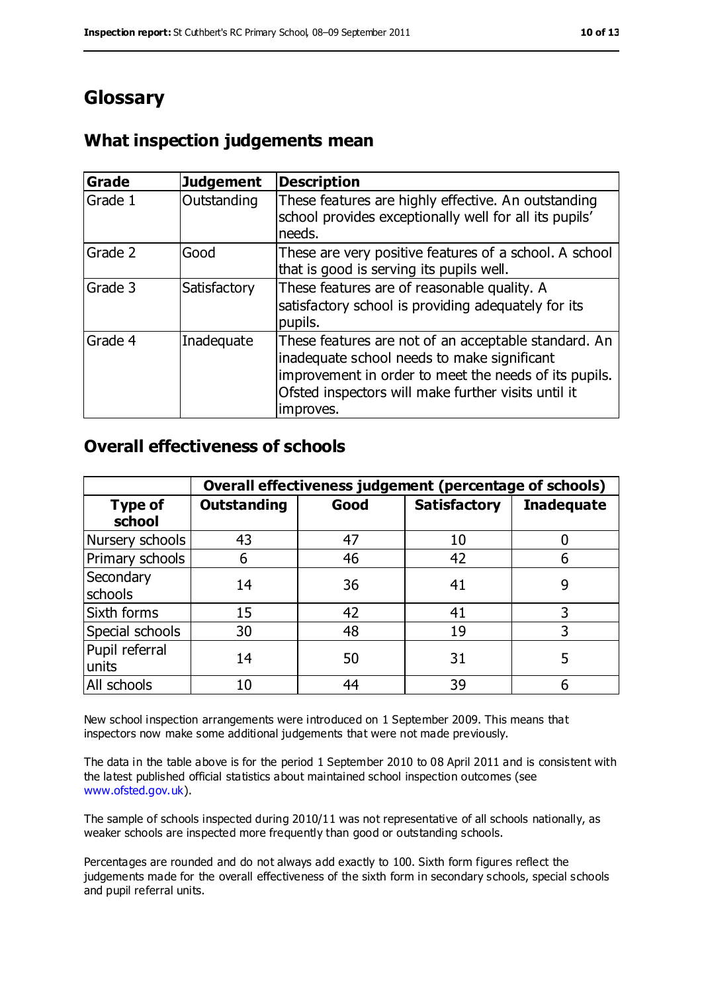## **Glossary**

#### **What inspection judgements mean**

| Grade   | <b>Judgement</b> | <b>Description</b>                                                                                                                                                                                                               |
|---------|------------------|----------------------------------------------------------------------------------------------------------------------------------------------------------------------------------------------------------------------------------|
| Grade 1 | Outstanding      | These features are highly effective. An outstanding<br>school provides exceptionally well for all its pupils'<br>needs.                                                                                                          |
| Grade 2 | Good             | These are very positive features of a school. A school<br>that is good is serving its pupils well.                                                                                                                               |
| Grade 3 | Satisfactory     | These features are of reasonable quality. A<br>satisfactory school is providing adequately for its<br>pupils.                                                                                                                    |
| Grade 4 | Inadequate       | These features are not of an acceptable standard. An<br>inadequate school needs to make significant<br>improvement in order to meet the needs of its pupils.<br>Ofsted inspectors will make further visits until it<br>improves. |

#### **Overall effectiveness of schools**

|                          | Overall effectiveness judgement (percentage of schools) |      |                     |                   |
|--------------------------|---------------------------------------------------------|------|---------------------|-------------------|
| <b>Type of</b><br>school | <b>Outstanding</b>                                      | Good | <b>Satisfactory</b> | <b>Inadequate</b> |
| Nursery schools          | 43                                                      | 47   | 10                  |                   |
| Primary schools          | 6                                                       | 46   | 42                  |                   |
| Secondary<br>schools     | 14                                                      | 36   | 41                  | 9                 |
| Sixth forms              | 15                                                      | 42   | 41                  | 3                 |
| Special schools          | 30                                                      | 48   | 19                  | 3                 |
| Pupil referral<br>units  | 14                                                      | 50   | 31                  | 5                 |
| All schools              | 10                                                      | 44   | 39                  |                   |

New school inspection arrangements were introduced on 1 September 2009. This means that inspectors now make some additional judgements that were not made previously.

The data in the table above is for the period 1 September 2010 to 08 April 2011 and is consistent with the latest published official statistics about maintained school inspection outcomes (see [www.ofsted.gov.uk\)](http://www.ofsted.gov.uk/).

The sample of schools inspected during 2010/11 was not representative of all schools nationally, as weaker schools are inspected more frequently than good or outstanding schools.

Percentages are rounded and do not always add exactly to 100. Sixth form figures reflect the judgements made for the overall effectiveness of the sixth form in secondary schools, special schools and pupil referral units.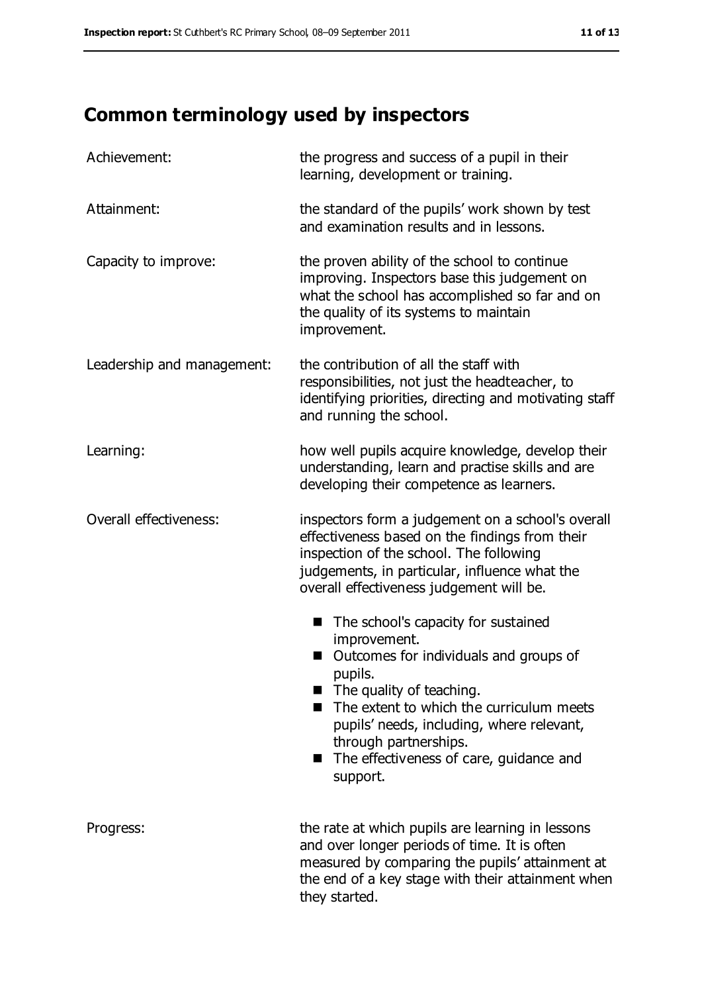## **Common terminology used by inspectors**

| Achievement:               | the progress and success of a pupil in their<br>learning, development or training.                                                                                                                                                                                                                                                     |
|----------------------------|----------------------------------------------------------------------------------------------------------------------------------------------------------------------------------------------------------------------------------------------------------------------------------------------------------------------------------------|
| Attainment:                | the standard of the pupils' work shown by test<br>and examination results and in lessons.                                                                                                                                                                                                                                              |
| Capacity to improve:       | the proven ability of the school to continue<br>improving. Inspectors base this judgement on<br>what the school has accomplished so far and on<br>the quality of its systems to maintain<br>improvement.                                                                                                                               |
| Leadership and management: | the contribution of all the staff with<br>responsibilities, not just the headteacher, to<br>identifying priorities, directing and motivating staff<br>and running the school.                                                                                                                                                          |
| Learning:                  | how well pupils acquire knowledge, develop their<br>understanding, learn and practise skills and are<br>developing their competence as learners.                                                                                                                                                                                       |
| Overall effectiveness:     | inspectors form a judgement on a school's overall<br>effectiveness based on the findings from their<br>inspection of the school. The following<br>judgements, in particular, influence what the<br>overall effectiveness judgement will be.                                                                                            |
|                            | The school's capacity for sustained<br>ш<br>improvement.<br>Outcomes for individuals and groups of<br>pupils.<br>$\blacksquare$ The quality of teaching.<br>The extent to which the curriculum meets<br>pupils' needs, including, where relevant,<br>through partnerships.<br>The effectiveness of care, guidance and<br>ш<br>support. |
| Progress:                  | the rate at which pupils are learning in lessons<br>and over longer periods of time. It is often<br>measured by comparing the pupils' attainment at<br>the end of a key stage with their attainment when<br>they started.                                                                                                              |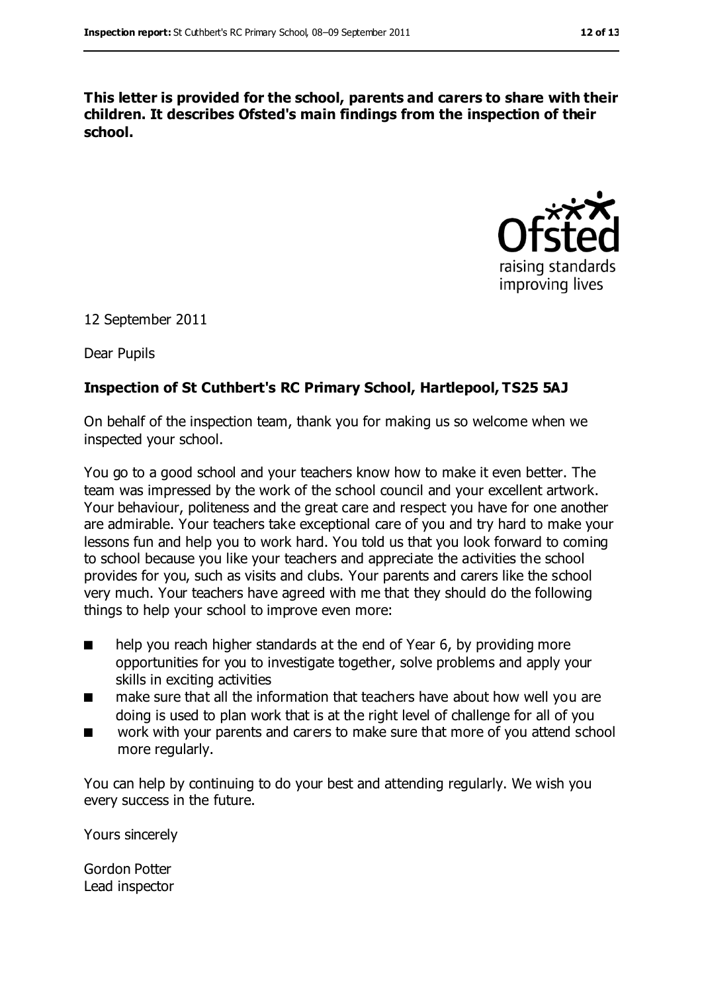**This letter is provided for the school, parents and carers to share with their children. It describes Ofsted's main findings from the inspection of their school.**



12 September 2011

Dear Pupils

#### **Inspection of St Cuthbert's RC Primary School, Hartlepool, TS25 5AJ**

On behalf of the inspection team, thank you for making us so welcome when we inspected your school.

You go to a good school and your teachers know how to make it even better. The team was impressed by the work of the school council and your excellent artwork. Your behaviour, politeness and the great care and respect you have for one another are admirable. Your teachers take exceptional care of you and try hard to make your lessons fun and help you to work hard. You told us that you look forward to coming to school because you like your teachers and appreciate the activities the school provides for you, such as visits and clubs. Your parents and carers like the school very much. Your teachers have agreed with me that they should do the following things to help your school to improve even more:

- help you reach higher standards at the end of Year 6, by providing more opportunities for you to investigate together, solve problems and apply your skills in exciting activities
- make sure that all the information that teachers have about how well you are doing is used to plan work that is at the right level of challenge for all of you
- work with your parents and carers to make sure that more of you attend school more regularly.

You can help by continuing to do your best and attending regularly. We wish you every success in the future.

Yours sincerely

Gordon Potter Lead inspector